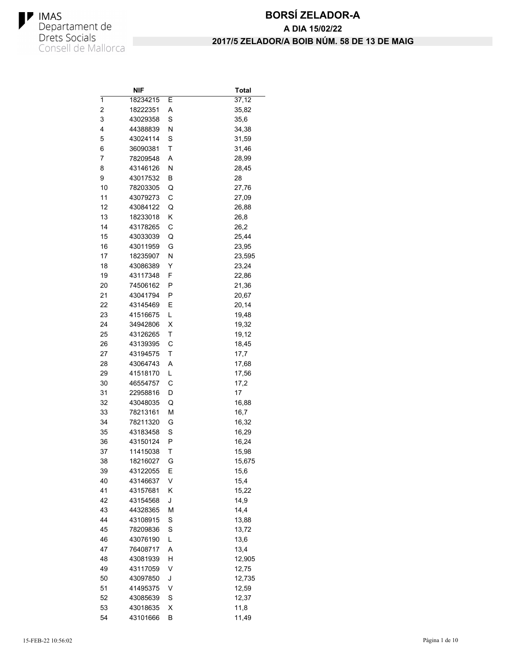

# **BORSÍ ZELADOR-A 2017/5 ZELADOR/A BOIB NÚM. 58 DE 13 DE MAIG A DIA 15/02/22**

|    | NIF      |   | <b>Total</b>  |
|----|----------|---|---------------|
| 1  | 18234215 | Е | 37,12         |
| 2  | 18222351 | Α | 35,82         |
| 3  | 43029358 | S | 35,6          |
| 4  | 44388839 | Ν | 34,38         |
| 5  | 43024114 | S | 31,59         |
| 6  | 36090381 | T | 31,46         |
| 7  | 78209548 | Α | 28,99         |
| 8  | 43146126 | Ν | 28,45         |
| 9  | 43017532 | В | 28            |
| 10 | 78203305 | Q | 27,76         |
| 11 | 43079273 | C | 27,09         |
| 12 | 43084122 | Q | 26,88         |
| 13 | 18233018 | Κ | 26,8          |
| 14 | 43178265 | С | 26,2          |
| 15 | 43033039 | Q | 25,44         |
| 16 | 43011959 | G | 23,95         |
| 17 | 18235907 | Ν | 23,595        |
| 18 | 43086389 | Y | 23,24         |
| 19 | 43117348 | F | 22,86         |
| 20 | 74506162 | Ρ | 21,36         |
| 21 | 43041794 | Ρ | 20,67         |
| 22 | 43145469 | Ε | 20,14         |
| 23 | 41516675 | L | 19,48         |
| 24 | 34942806 | х | 19,32         |
| 25 | 43126265 | т | 19,12         |
| 26 | 43139395 | С | 18,45         |
| 27 | 43194575 | Τ | 17,7          |
| 28 | 43064743 | A | 17,68         |
| 29 | 41518170 | L | 17,56         |
| 30 | 46554757 | С | 17,2          |
| 31 | 22958816 | D | 17            |
| 32 | 43048035 | Q |               |
| 33 | 78213161 | М | 16,88         |
| 34 | 78211320 |   | 16,7<br>16,32 |
|    | 43183458 | G |               |
| 35 |          | S | 16,29         |
| 36 | 43150124 | Ρ | 16,24         |
| 37 | 11415038 | Τ | 15,98         |
| 38 | 18216027 | G | 15,675        |
| 39 | 43122055 | Ε | 15,6          |
| 40 | 43146637 | V | 15,4          |
| 41 | 43157681 | Κ | 15,22         |
| 42 | 43154568 | J | 14,9          |
| 43 | 44328365 | M | 14,4          |
| 44 | 43108915 | S | 13,88         |
| 45 | 78209836 | S | 13,72         |
| 46 | 43076190 | L | 13,6          |
| 47 | 76408717 | Α | 13,4          |
| 48 | 43081939 | н | 12,905        |
| 49 | 43117059 | V | 12,75         |
| 50 | 43097850 | J | 12,735        |
| 51 | 41495375 | ٧ | 12,59         |
| 52 | 43085639 | S | 12,37         |
| 53 | 43018635 | X | 11,8          |
| 54 | 43101666 | В | 11,49         |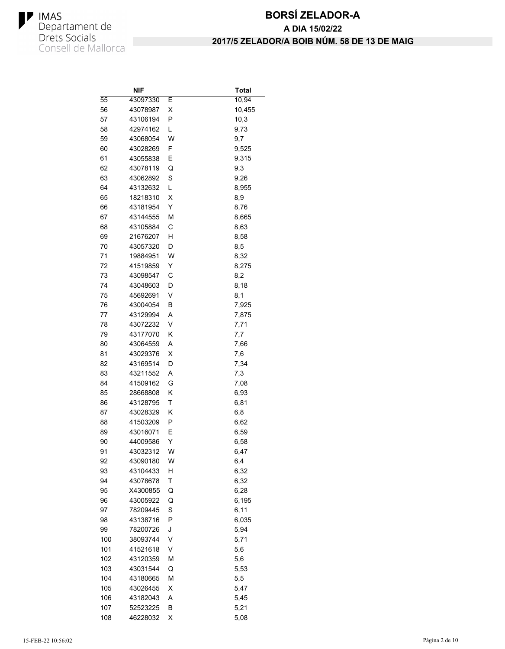

|            | NIF                  |        | <b>Total</b> |
|------------|----------------------|--------|--------------|
| 55         | 43097330             | Е      | 10,94        |
| 56         | 43078987             | х      | 10,455       |
| 57         | 43106194             | P      | 10,3         |
| 58         | 42974162             | L      | 9,73         |
| 59         | 43068054             | W      | 9,7          |
| 60         | 43028269             | F      | 9,525        |
| 61         | 43055838             | Ε      | 9,315        |
| 62         | 43078119             | Q      | 9,3          |
| 63         | 43062892             | S      | 9,26         |
| 64         | 43132632             | L      | 8,955        |
| 65         | 18218310             | X      | 8,9          |
| 66         | 43181954             | Υ      | 8,76         |
| 67         | 43144555             | M      | 8,665        |
| 68         | 43105884             | С      | 8,63         |
| 69         | 21676207             | н      | 8,58         |
| 70         | 43057320             | D      | 8,5          |
| 71         | 19884951             | W      | 8,32         |
| 72         | 41519859             | Y      | 8,275        |
| 73         | 43098547             | С      | 8,2          |
| 74         | 43048603             | D      | 8,18         |
| 75         | 45692691             | V      | 8,1          |
| 76         | 43004054             | В      | 7,925        |
| 77         | 43129994             | A      | 7,875        |
| 78         | 43072232             | V      | 7,71         |
| 79         | 43177070             | Κ      | 7,7          |
| 80         | 43064559             | Α      | 7,66         |
| 81         | 43029376             | х      | 7,6          |
| 82         | 43169514             | D      | 7,34         |
| 83         | 43211552             | A      | 7,3          |
| 84         | 41509162             | G      | 7,08         |
| 85         | 28668808             | Κ      | 6,93         |
| 86         | 43128795             | Τ      | 6,81         |
| 87         | 43028329             | κ      | 6,8          |
| 88         | 41503209             | Ρ      | 6,62         |
| 89         | 43016071             | Е      | 6,59         |
| 90         | 44009586             | Y      | 6,58         |
| 91         | 43032312             | W      | 6,47         |
| 92         | 43090180             | W      | 6,4          |
| 93         | 43104433             | н      | 6,32         |
| 94         | 43078678             | Τ      | 6,32         |
| 95         | X4300855             | Q      | 6,28         |
| 96         | 43005922             | Q      | 6,195        |
| 97         | 78209445             | S      | 6,11         |
| 98         | 43138716             | P      | 6,035        |
| 99         | 78200726             | J      | 5,94         |
| 100        | 38093744             | V      | 5,71         |
| 101        | 41521618             | V      |              |
| 102        | 43120359             |        | 5,6<br>5,6   |
|            |                      | м      |              |
| 103<br>104 | 43031544<br>43180665 | Q<br>М | 5,53         |
|            |                      |        | 5,5          |
| 105        | 43026455             | Χ      | 5,47         |
| 106        | 43182043             | Α      | 5,45         |
| 107        | 52523225             | В      | 5,21         |
| 108        | 46228032             | Χ      | 5,08         |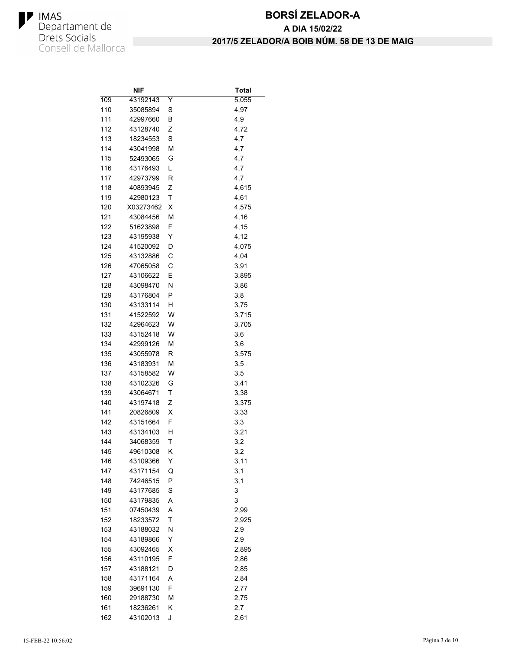

|            | NIF                  |   | <b>Total</b> |
|------------|----------------------|---|--------------|
| 109        | 43192143             | Y | 5,055        |
| 110        | 35085894             | S | 4,97         |
| 111        | 42997660             | В | 4,9          |
| 112        | 43128740             | Ζ | 4,72         |
| 113        | 18234553             | S | 4,7          |
| 114        | 43041998             | М | 4,7          |
| 115        | 52493065             | G | 4,7          |
| 116        | 43176493             | L | 4,7          |
| 117        | 42973799             | R | 4,7          |
| 118        | 40893945             | Ζ | 4,615        |
| 119        | 42980123             | T | 4,61         |
| 120        | X03273462            | х | 4,575        |
| 121        | 43084456             | М | 4,16         |
| 122        | 51623898             | F | 4,15         |
| 123        | 43195938             | Y | 4,12         |
| 124        | 41520092             | D | 4,075        |
| 125        | 43132886             | С | 4,04         |
| 126        | 47065058             | С | 3,91         |
| 127        | 43106622             | Е | 3,895        |
| 128        | 43098470             | Ν | 3,86         |
| 129        | 43176804             | P | 3,8          |
| 130        | 43133114             | н | 3,75         |
| 131        | 41522592             | W | 3,715        |
| 132        | 42964623             | W | 3,705        |
| 133        | 43152418             | W | 3,6          |
| 134        | 42999126             | M | 3,6          |
| 135        | 43055978             | R | 3,575        |
| 136        | 43183931             | М | 3,5          |
| 137        | 43158582             | W | 3,5          |
| 138        | 43102326             | G | 3,41         |
| 139        | 43064671             | т | 3,38         |
| 140        | 43197418             | Ζ | 3,375        |
| 141        | 20826809             | х | 3,33         |
| 142        | 43151664             | F | 3,3          |
| 143        | 43134103             | н | 3,21         |
| 144        | 34068359             | т | 3,2          |
| 145        | 49610308             |   |              |
|            | 43109366             | κ | 3,2          |
| 146<br>147 | 43171154             | Υ | 3,11         |
|            |                      | Q | 3,1          |
| 148        | 74246515<br>43177685 | P | 3,1          |
| 149        |                      | S | 3            |
| 150        | 43179835             | Α | 3            |
| 151        | 07450439             | Α | 2,99         |
| 152        | 18233572             | T | 2,925        |
| 153        | 43188032             | Ν | 2,9          |
| 154        | 43189866             | Υ | 2,9          |
| 155        | 43092465             | х | 2,895        |
| 156        | 43110195             | F | 2,86         |
| 157        | 43188121             | D | 2,85         |
| 158        | 43171164             | Α | 2,84         |
| 159        | 39691130             | F | 2,77         |
| 160        | 29188730             | M | 2,75         |
| 161        | 18236261             | Κ | 2,7          |
| 162        | 43102013             | J | 2,61         |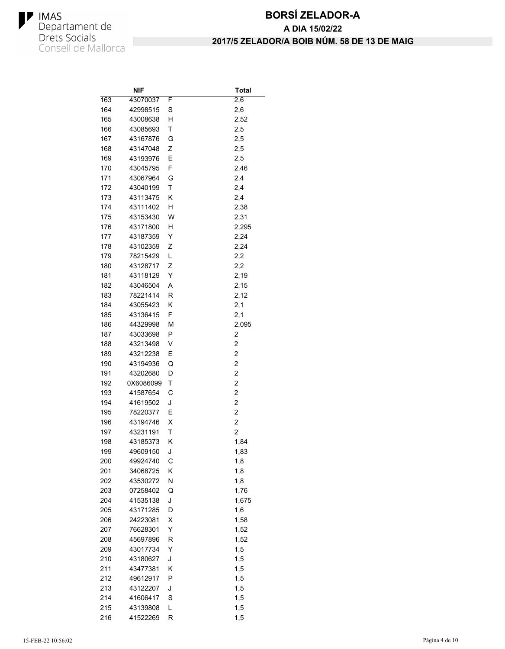

|     | NIF                  |        | <b>Total</b> |
|-----|----------------------|--------|--------------|
| 163 | 43070037             | F      | 2,6          |
| 164 | 42998515             | S      | 2,6          |
| 165 | 43008638             | н      | 2,52         |
| 166 | 43085693             | T      | 2,5          |
| 167 | 43167876             | G      | 2,5          |
| 168 | 43147048             | Ζ      | 2,5          |
| 169 | 43193976             | Ε      | 2,5          |
| 170 | 43045795             | F      | 2,46         |
| 171 | 43067964             | G      | 2,4          |
| 172 | 43040199             | т      | 2,4          |
| 173 | 43113475             | Κ      | 2,4          |
| 174 | 43111402             | н      | 2,38         |
| 175 | 43153430             | W      | 2,31         |
| 176 | 43171800             | н      | 2,295        |
| 177 | 43187359             | Y      | 2,24         |
| 178 | 43102359             | Ζ      | 2,24         |
| 179 | 78215429             | L      | 2,2          |
| 180 | 43128717             | Ζ      | 2,2          |
| 181 | 43118129             | Y      | 2,19         |
| 182 | 43046504             | Α      | 2,15         |
| 183 | 78221414             | R      | 2,12         |
| 184 | 43055423             | Κ      | 2,1          |
| 185 | 43136415             | F      | 2,1          |
| 186 | 44329998             | М      | 2,095        |
| 187 | 43033698             | Ρ      | 2            |
| 188 | 43213498             | V      | 2            |
| 189 | 43212238             | Е      | 2            |
| 190 | 43194936             | Q      | 2            |
| 191 | 43202680             | D      | 2            |
| 192 | 0X6086099            | Τ      | 2            |
| 193 | 41587654             | С      | 2            |
| 194 | 41619502             | J      | 2            |
| 195 | 78220377             | Ε      | 2            |
| 196 | 43194746             | х      | 2            |
| 197 | 43231191             | т      | 2            |
| 198 | 43185373             | Κ      | 1,84         |
| 199 | 49609150             | J      | 1,83         |
| 200 | 49924740             | С      | 1,8          |
| 201 | 34068725             | Κ      | 1,8          |
| 202 | 43530272             |        |              |
| 203 | 07258402             | N<br>Q | 1,8          |
|     |                      |        | 1,76         |
| 204 | 41535138             | J      | 1,675        |
| 205 | 43171285<br>24223081 | D      | 1,6          |
| 206 |                      | Χ      | 1,58         |
| 207 | 76628301             | Y      | 1,52         |
| 208 | 45697896             | R      | 1,52         |
| 209 | 43017734             | Υ      | 1,5          |
| 210 | 43180627             | J      | 1,5          |
| 211 | 43477381             | Κ      | 1,5          |
| 212 | 49612917             | Ρ      | 1,5          |
| 213 | 43122207             | J      | 1,5          |
| 214 | 41606417             | S      | 1,5          |
| 215 | 43139808             | Г      | 1,5          |
| 216 | 41522269             | R      | 1,5          |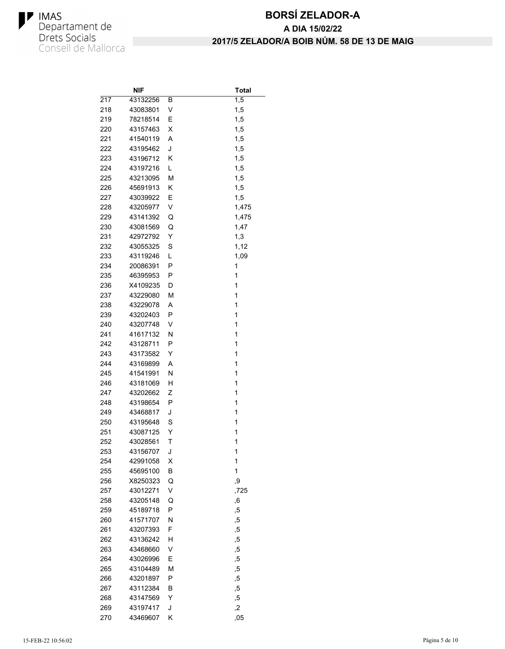

# **BORSÍ ZELADOR-A 2017/5 ZELADOR/A BOIB NÚM. 58 DE 13 DE MAIG A DIA 15/02/22**

|            | NIF                  |        | Total          |
|------------|----------------------|--------|----------------|
| 217        | 43132256             | в      | 1,5            |
| 218        | 43083801             | V      | 1,5            |
| 219        | 78218514             | Ε      | 1,5            |
| 220        | 43157463             | х      | 1,5            |
| 221        | 41540119             | A      | 1,5            |
| 222        | 43195462             | J      | 1,5            |
| 223        | 43196712             | κ      | 1,5            |
| 224        | 43197216             | L      | 1,5            |
| 225        | 43213095             | М      | 1,5            |
| 226        | 45691913             | Κ      | 1,5            |
| 227        | 43039922             | Е      | 1,5            |
| 228        | 43205977             | V      | 1,475          |
| 229        | 43141392             | Q      | 1,475          |
| 230        | 43081569             | Q      | 1,47           |
| 231        | 42972792             | Y      | 1,3            |
| 232        | 43055325             | S      | 1,12           |
| 233        | 43119246             | L      | 1,09           |
| 234        | 20086391             | P      | 1              |
| 235        | 46395953             | Ρ      | 1              |
| 236        | X4109235             | D      | 1              |
| 237        | 43229080             | М      | 1              |
| 238        | 43229078             | A      | $\overline{1}$ |
| 239        | 43202403             | P      | 1              |
| 240        | 43207748             | V      | 1              |
| 241        | 41617132             | Ν      | $\overline{1}$ |
| 242        | 43128711             | Ρ      | 1              |
| 243        | 43173582             | Y      | 1              |
| 244        | 43169899             | Α      | 1              |
| 245        | 41541991             | Ν      | 1              |
| 246        | 43181069             | н      | 1              |
| 247        | 43202662             | Ζ      | 1              |
| 248        | 43198654             | Ρ      | 1              |
| 249        | 43468817             | J      | 1              |
| 250        | 43195648             | S      | 1              |
| 251        | 43087125             | Y      | 1              |
| 252        | 43028561             | т      | 1              |
| 253        | 43156707             | J      | 1              |
| 254        | 42991058             | Χ      | 1              |
| 255        | 45695100             | В      | 1              |
| 256        | X8250323             | Q      | ,9             |
| 257        | 43012271             | V      | ,725           |
| 258        | 43205148             | Q      |                |
| 259        | 45189718             | P      | 6,             |
| 260        | 41571707             | Ν      | ,5             |
|            |                      | F      | ,5             |
| 261<br>262 | 43207393<br>43136242 |        | ,5             |
|            |                      | н<br>V | ,5             |
| 263        | 43468660<br>43026996 |        | ,5             |
| 264        |                      | E      | ,5             |
| 265        | 43104489             | М      | ,5             |
| 266        | 43201897             | P      | ,5             |
| 267        | 43112384             | В      | ,5             |
| 268        | 43147569             | Y      | ,5             |
| 269        | 43197417             | J      | ,2             |
| 270        | 43469607             | Κ      | ,05            |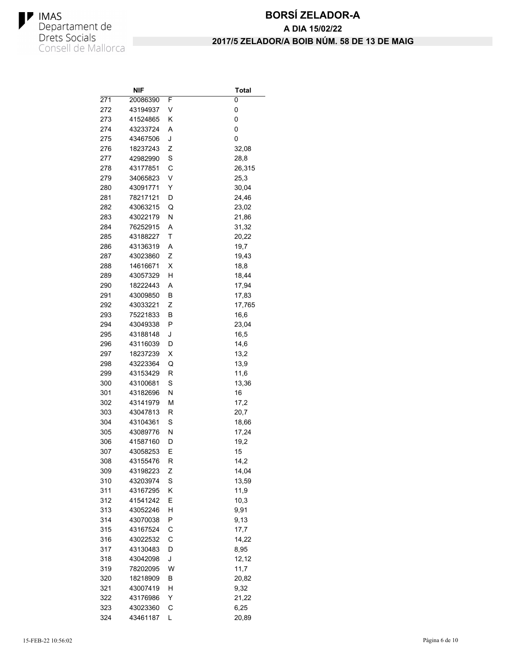

|     | NIF                  |   | Total         |
|-----|----------------------|---|---------------|
| 271 | 20086390             | F | 0             |
| 272 | 43194937             | V | 0             |
| 273 | 41524865             | Κ | 0             |
| 274 | 43233724             | Α | 0             |
| 275 | 43467506             | J | 0             |
| 276 | 18237243             | Ζ | 32,08         |
| 277 | 42982990             | S | 28,8          |
| 278 | 43177851             | C | 26,315        |
| 279 | 34065823             | V | 25,3          |
| 280 | 43091771             | Y | 30,04         |
| 281 | 78217121             | D | 24,46         |
| 282 | 43063215             | Q | 23,02         |
| 283 | 43022179             | Ν | 21,86         |
| 284 | 76252915             | A | 31,32         |
| 285 | 43188227             | т | 20,22         |
| 286 | 43136319             | Α | 19,7          |
| 287 | 43023860             | Ζ | 19,43         |
| 288 | 14616671             | X | 18,8          |
| 289 | 43057329             | н | 18,44         |
| 290 | 18222443             | Α | 17,94         |
| 291 | 43009850             | B | 17,83         |
| 292 | 43033221             | Z | 17,765        |
| 293 | 75221833             | В | 16,6          |
| 294 | 43049338             | Ρ | 23,04         |
| 295 | 43188148             | J | 16,5          |
| 296 | 43116039             | D | 14,6          |
| 297 | 18237239             | х | 13,2          |
| 298 | 43223364             | Q | 13,9          |
| 299 | 43153429             | R | 11,6          |
| 300 | 43100681             | S | 13,36         |
| 301 | 43182696             | N | 16            |
| 302 | 43141979             | М | 17,2          |
| 303 | 43047813             | R | 20,7          |
| 304 | 43104361             | S | 18,66         |
| 305 | 43089776             | Ν | 17,24         |
| 306 | 41587160             | D | 19,2          |
| 307 | 43058253             | Е | 15            |
| 308 | 43155476             | R | 14,2          |
| 309 | 43198223             | Ζ | 14,04         |
| 310 | 43203974             | S | 13,59         |
| 311 | 43167295             | Κ | 11,9          |
| 312 | 41541242             | Ε | 10,3          |
| 313 | 43052246             | Н | 9,91          |
| 314 | 43070038             | P | 9,13          |
| 315 | 43167524             | С | 17,7          |
| 316 |                      | С |               |
| 317 | 43022532<br>43130483 | D | 14,22<br>8,95 |
|     |                      |   |               |
| 318 | 43042098             | J | 12,12         |
| 319 | 78202095             | W | 11,7          |
| 320 | 18218909             | В | 20,82         |
| 321 | 43007419             | н | 9,32          |
| 322 | 43176986             | Y | 21,22         |
| 323 | 43023360             | С | 6,25          |
| 324 | 43461187             | L | 20,89         |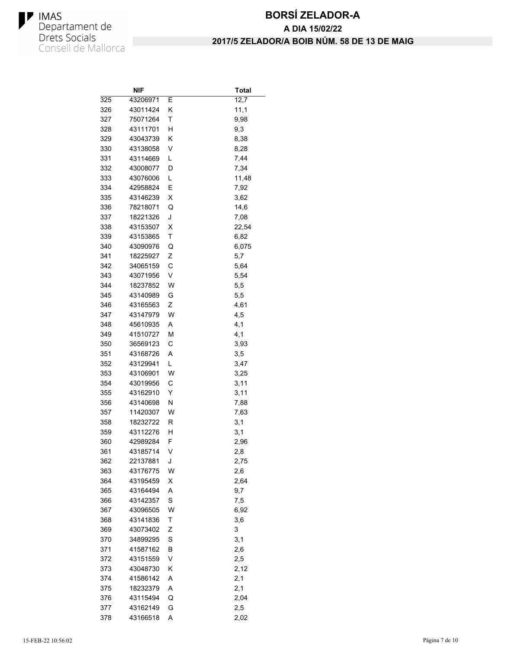

|            | NIF      |        | Total       |
|------------|----------|--------|-------------|
| 325        | 43206971 | Е      | 12,7        |
| 326        | 43011424 | Κ      | 11,1        |
| 327        | 75071264 | Τ      | 9,98        |
| 328        | 43111701 | н      | 9,3         |
| 329        | 43043739 | Κ      | 8,38        |
| 330        | 43138058 | ٧      | 8,28        |
| 331        | 43114669 | L      | 7,44        |
| 332        | 43008077 | D      | 7,34        |
| 333        | 43076006 | Г      | 11,48       |
| 334        | 42958824 | Е      | 7,92        |
| 335        | 43146239 | х      | 3,62        |
| 336        | 78218071 | Q      | 14,6        |
| 337        | 18221326 | J      | 7,08        |
| 338        | 43153507 | х      | 22,54       |
| 339        | 43153865 | Τ      | 6,82        |
| 340        | 43090976 | Q      | 6,075       |
| 341        | 18225927 | Ζ      | 5,7         |
| 342        | 34065159 | C      | 5,64        |
| 343        | 43071956 | V      | 5,54        |
| 344        | 18237852 | W      | 5,5         |
| 345        | 43140989 | G      | 5,5         |
| 346        | 43165563 | Ζ      | 4,61        |
| 347        | 43147979 | W      | 4,5         |
| 348        | 45610935 | Α      | 4,1         |
| 349        | 41510727 | M      | 4,1         |
| 350        | 36569123 | С      | 3,93        |
| 351        | 43168726 | Α      | 3,5         |
| 352        | 43129941 | L      | 3,47        |
| 353        | 43106901 | W      | 3,25        |
| 354        | 43019956 | С      | 3,11        |
| 355        | 43162910 | Y      | 3,11        |
| 356        | 43140698 | N      | 7,88        |
| 357        | 11420307 | W      |             |
| 358        | 18232722 | R      | 7,63<br>3,1 |
| 359        | 43112276 | н      | 3,1         |
| 360        | 42989284 | F      | 2,96        |
|            | 43185714 | ٧      |             |
| 361<br>362 | 22137881 |        | 2,8         |
|            |          | J<br>W | 2,75        |
| 363        | 43176775 |        | 2,6         |
| 364        | 43195459 | х      | 2,64        |
| 365        | 43164494 | Α      | 9,7         |
| 366        | 43142357 | S      | 7,5         |
| 367        | 43096505 | W      | 6,92        |
| 368        | 43141836 | Τ      | 3,6         |
| 369        | 43073402 | Ζ      | 3           |
| 370        | 34899295 | S      | 3,1         |
| 371        | 41587162 | В      | 2,6         |
| 372        | 43151559 | V      | 2,5         |
| 373        | 43048730 | Κ      | 2,12        |
| 374        | 41586142 | Α      | 2,1         |
| 375        | 18232379 | Α      | 2,1         |
| 376        | 43115494 | Q      | 2,04        |
| 377        | 43162149 | G      | 2,5         |
| 378        | 43166518 | A      | 2,02        |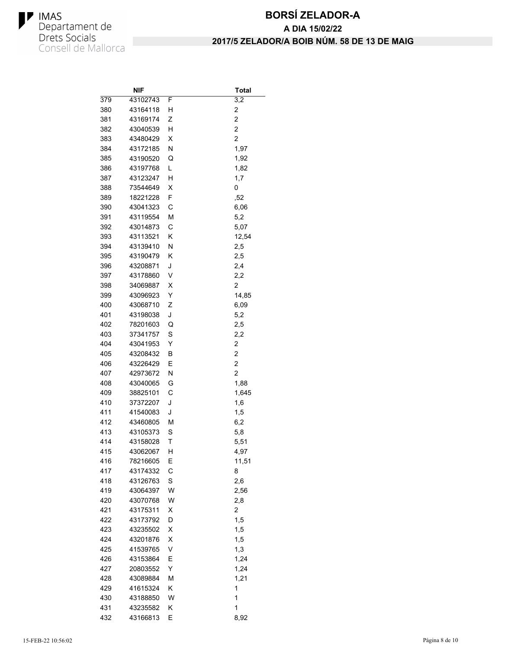

|     | NIF                  |   | <b>Total</b>            |
|-----|----------------------|---|-------------------------|
| 379 | 43102743             | F | 3,2                     |
| 380 | 43164118             | н | 2                       |
| 381 | 43169174             | Ζ | 2                       |
| 382 | 43040539             | н | $\overline{c}$          |
| 383 | 43480429             | X | 2                       |
| 384 | 43172185             | Ν | 1,97                    |
| 385 | 43190520             | Q | 1,92                    |
| 386 | 43197768             | L | 1,82                    |
| 387 | 43123247             | н | 1,7                     |
| 388 | 73544649             | х | 0                       |
| 389 | 18221228             | F | ,52                     |
| 390 | 43041323             | С | 6,06                    |
| 391 | 43119554             | М | 5,2                     |
| 392 | 43014873             | С | 5,07                    |
| 393 | 43113521             | Κ | 12,54                   |
| 394 | 43139410             | Ν | 2,5                     |
| 395 | 43190479             | Κ | 2,5                     |
| 396 | 43208871             | J | 2,4                     |
| 397 | 43178860             | V | 2,2                     |
| 398 | 34069887             | Χ | 2                       |
| 399 | 43096923             | Υ | 14,85                   |
| 400 | 43068710             | Ζ | 6,09                    |
| 401 | 43198038             | J | 5,2                     |
| 402 | 78201603             | Q | 2,5                     |
| 403 | 37341757             | S | 2,2                     |
| 404 | 43041953             | Υ | $\overline{\mathbf{c}}$ |
| 405 | 43208432             | В | 2                       |
| 406 | 43226429             | Ε | 2                       |
| 407 | 42973672             | Ν | 2                       |
| 408 | 43040065             | G | 1,88                    |
| 409 | 38825101             | С | 1,645                   |
| 410 | 37372207             | J | 1,6                     |
| 411 | 41540083             | J | 1,5                     |
| 412 | 43460805             | М | 6,2                     |
| 413 | 43105373             | S | 5,8                     |
| 414 | 43158028             | Τ | 5,51                    |
| 415 | 43062067             | н | 4,97                    |
| 416 | 78216605             | Е | 11,51                   |
| 417 | 43174332             | С | 8                       |
| 418 | 43126763             | S | 2,6                     |
| 419 | 43064397             | W |                         |
|     |                      |   | 2,56                    |
| 420 | 43070768<br>43175311 | W | 2,8                     |
| 421 | 43173792             | Χ | 2                       |
| 422 |                      | D | 1,5                     |
| 423 | 43235502             | Χ | 1,5                     |
| 424 | 43201876             | Χ | 1,5                     |
| 425 | 41539765             | V | 1,3                     |
| 426 | 43153864             | Ε | 1,24                    |
| 427 | 20803552             | Υ | 1,24                    |
| 428 | 43089884             | М | 1,21                    |
| 429 | 41615324             | Κ | 1                       |
| 430 | 43188850             | W | 1                       |
| 431 | 43235582             | Κ | 1                       |
| 432 | 43166813             | Ε | 8,92                    |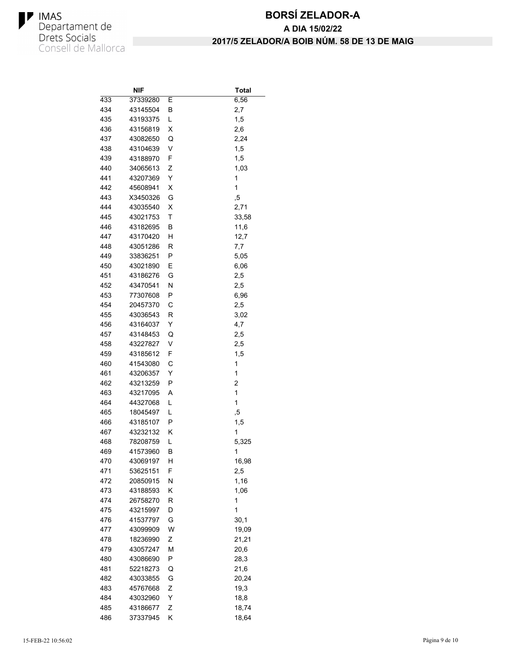

|     | NIF                  |   | <b>Total</b> |
|-----|----------------------|---|--------------|
| 433 | 37339280             | Е | 6,56         |
| 434 | 43145504             | В | 2,7          |
| 435 | 43193375             | L | 1,5          |
| 436 | 43156819             | X | 2,6          |
| 437 | 43082650             | Q | 2,24         |
| 438 | 43104639             | V | 1,5          |
| 439 | 43188970             | F | 1,5          |
| 440 | 34065613             | Ζ | 1,03         |
| 441 | 43207369             | Υ | 1            |
| 442 | 45608941             | х | 1            |
| 443 | X3450326             | G | ,5           |
| 444 | 43035540             | х | 2,71         |
| 445 | 43021753             | Τ | 33,58        |
| 446 | 43182695             | В | 11,6         |
| 447 | 43170420             | н | 12,7         |
| 448 | 43051286             | R | 7,7          |
| 449 | 33836251             | Ρ | 5,05         |
| 450 | 43021890             | Ε | 6,06         |
| 451 | 43186276             | G | 2,5          |
| 452 | 43470541             | Ν | 2,5          |
| 453 | 77307608             | Ρ | 6,96         |
| 454 | 20457370             | С | 2,5          |
| 455 | 43036543             | R | 3,02         |
| 456 | 43164037             | Y | 4,7          |
| 457 | 43148453             | Q | 2,5          |
| 458 | 43227827             | V | 2,5          |
| 459 | 43185612             | F | 1,5          |
| 460 | 41543080             | С | 1            |
| 461 | 43206357             | Υ | 1            |
| 462 | 43213259             | Ρ | 2            |
| 463 | 43217095             | Α | 1            |
| 464 | 44327068             | L | $\mathbf{1}$ |
| 465 |                      | L |              |
| 466 | 18045497<br>43185107 | P | ,5           |
|     |                      |   | 1,5<br>1     |
| 467 | 43232132             | Κ |              |
| 468 | 78208759             | Г | 5,325        |
| 469 | 41573960             | В | 1            |
| 470 | 43069197             | н | 16,98        |
| 471 | 53625151             | F | 2,5          |
| 472 | 20850915             | Ν | 1,16         |
| 473 | 43188593             | Κ | 1,06         |
| 474 | 26758270             | R | 1            |
| 475 | 43215997             | D | 1            |
| 476 | 41537797             | G | 30,1         |
| 477 | 43099909             | W | 19,09        |
| 478 | 18236990             | Ζ | 21,21        |
| 479 | 43057247             | М | 20,6         |
| 480 | 43086690             | Ρ | 28,3         |
| 481 | 52218273             | Q | 21,6         |
| 482 | 43033855             | G | 20,24        |
| 483 | 45767668             | Ζ | 19,3         |
| 484 | 43032960             | Υ | 18,8         |
| 485 | 43186677             | Ζ | 18,74        |
| 486 | 37337945             | Κ | 18,64        |